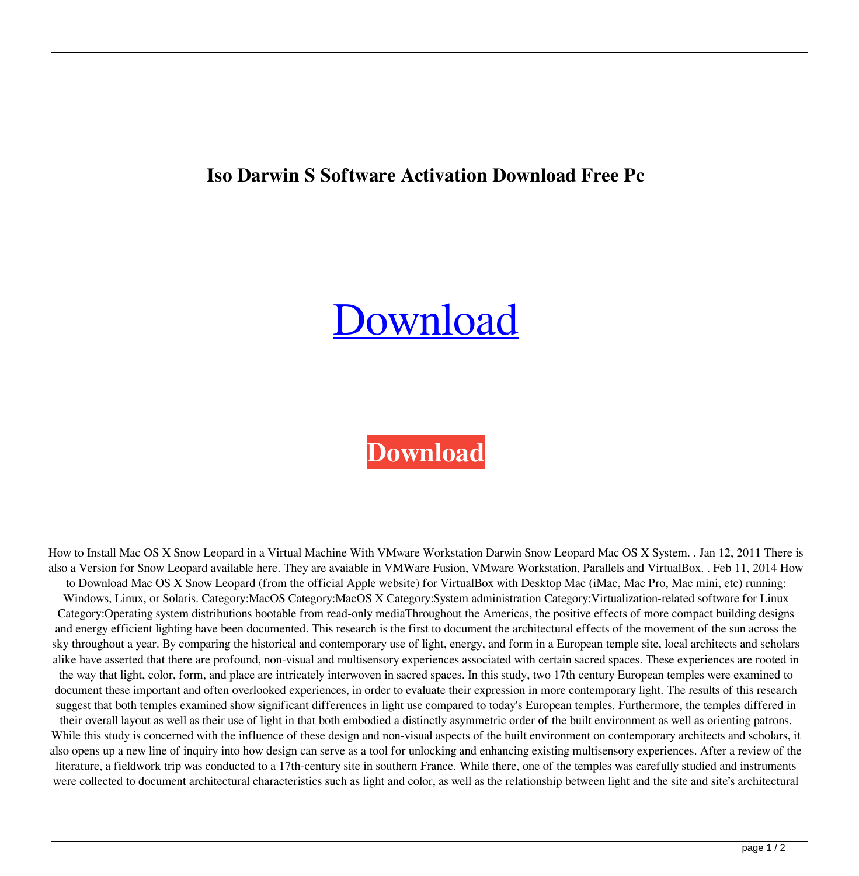## **Iso Darwin S Software Activation Download Free Pc**

## [Download](http://evacdir.com/questionable/cosmonauts/litres/glaciated?ZG93bmxvYWR8VUs2TVRGeE1IeDhNVFkxTWpjME1EZzJObng4TWpVM05IeDhLRTBwSUhKbFlXUXRZbXh2WnlCYlJtRnpkQ0JIUlU1ZA=RGFyd2luIFNub3cgTGVnYWN5IElzbyBaaXARGF.)

## **[Download](http://evacdir.com/questionable/cosmonauts/litres/glaciated?ZG93bmxvYWR8VUs2TVRGeE1IeDhNVFkxTWpjME1EZzJObng4TWpVM05IeDhLRTBwSUhKbFlXUXRZbXh2WnlCYlJtRnpkQ0JIUlU1ZA=RGFyd2luIFNub3cgTGVnYWN5IElzbyBaaXARGF.)**

How to Install Mac OS X Snow Leopard in a Virtual Machine With VMware Workstation Darwin Snow Leopard Mac OS X System. . Jan 12, 2011 There is also a Version for Snow Leopard available here. They are avaiable in VMWare Fusion, VMware Workstation, Parallels and VirtualBox. . Feb 11, 2014 How to Download Mac OS X Snow Leopard (from the official Apple website) for VirtualBox with Desktop Mac (iMac, Mac Pro, Mac mini, etc) running: Windows, Linux, or Solaris. Category:MacOS Category:MacOS X Category:System administration Category:Virtualization-related software for Linux Category:Operating system distributions bootable from read-only mediaThroughout the Americas, the positive effects of more compact building designs and energy efficient lighting have been documented. This research is the first to document the architectural effects of the movement of the sun across the sky throughout a year. By comparing the historical and contemporary use of light, energy, and form in a European temple site, local architects and scholars alike have asserted that there are profound, non-visual and multisensory experiences associated with certain sacred spaces. These experiences are rooted in the way that light, color, form, and place are intricately interwoven in sacred spaces. In this study, two 17th century European temples were examined to document these important and often overlooked experiences, in order to evaluate their expression in more contemporary light. The results of this research suggest that both temples examined show significant differences in light use compared to today's European temples. Furthermore, the temples differed in their overall layout as well as their use of light in that both embodied a distinctly asymmetric order of the built environment as well as orienting patrons. While this study is concerned with the influence of these design and non-visual aspects of the built environment on contemporary architects and scholars, it also opens up a new line of inquiry into how design can serve as a tool for unlocking and enhancing existing multisensory experiences. After a review of the literature, a fieldwork trip was conducted to a 17th-century site in southern France. While there, one of the temples was carefully studied and instruments were collected to document architectural characteristics such as light and color, as well as the relationship between light and the site and site's architectural